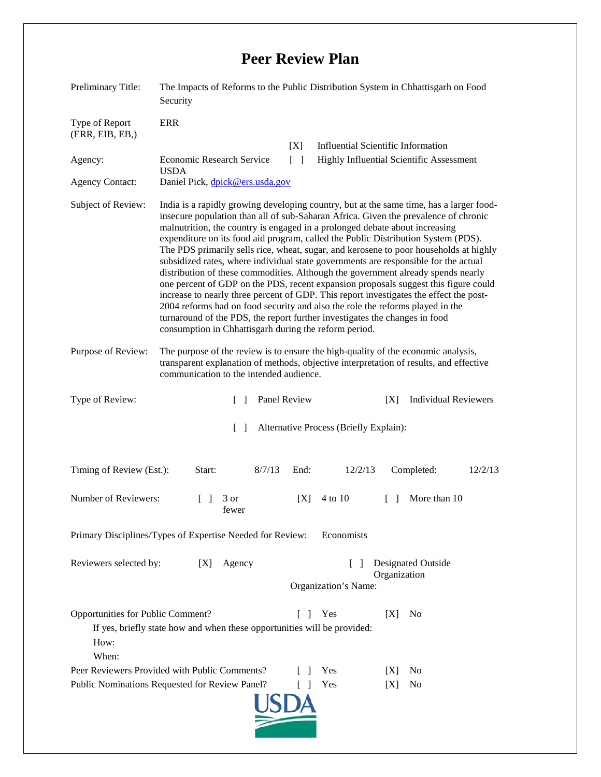## **Peer Review Plan**

| Preliminary Title:                                                                                                                                                                | The Impacts of Reforms to the Public Distribution System in Chhattisgarh on Food<br>Security                                                                                                                                                                                                                                                                                                                                                                                                                                                                                                                                                                                                                                                                                                                                                                                                                                                                                                                                    |
|-----------------------------------------------------------------------------------------------------------------------------------------------------------------------------------|---------------------------------------------------------------------------------------------------------------------------------------------------------------------------------------------------------------------------------------------------------------------------------------------------------------------------------------------------------------------------------------------------------------------------------------------------------------------------------------------------------------------------------------------------------------------------------------------------------------------------------------------------------------------------------------------------------------------------------------------------------------------------------------------------------------------------------------------------------------------------------------------------------------------------------------------------------------------------------------------------------------------------------|
| Type of Report<br>(ERR, EIB, EB, )                                                                                                                                                | <b>ERR</b>                                                                                                                                                                                                                                                                                                                                                                                                                                                                                                                                                                                                                                                                                                                                                                                                                                                                                                                                                                                                                      |
| Agency:                                                                                                                                                                           | <b>Influential Scientific Information</b><br>[X]<br><b>Economic Research Service</b><br>$\Box$<br>Highly Influential Scientific Assessment                                                                                                                                                                                                                                                                                                                                                                                                                                                                                                                                                                                                                                                                                                                                                                                                                                                                                      |
| <b>Agency Contact:</b>                                                                                                                                                            | <b>USDA</b><br>Daniel Pick, dpick@ers.usda.gov                                                                                                                                                                                                                                                                                                                                                                                                                                                                                                                                                                                                                                                                                                                                                                                                                                                                                                                                                                                  |
| Subject of Review:                                                                                                                                                                | India is a rapidly growing developing country, but at the same time, has a larger food-<br>insecure population than all of sub-Saharan Africa. Given the prevalence of chronic<br>malnutrition, the country is engaged in a prolonged debate about increasing<br>expenditure on its food aid program, called the Public Distribution System (PDS).<br>The PDS primarily sells rice, wheat, sugar, and kerosene to poor households at highly<br>subsidized rates, where individual state governments are responsible for the actual<br>distribution of these commodities. Although the government already spends nearly<br>one percent of GDP on the PDS, recent expansion proposals suggest this figure could<br>increase to nearly three percent of GDP. This report investigates the effect the post-<br>2004 reforms had on food security and also the role the reforms played in the<br>turnaround of the PDS, the report further investigates the changes in food<br>consumption in Chhattisgarh during the reform period. |
| Purpose of Review:                                                                                                                                                                | The purpose of the review is to ensure the high-quality of the economic analysis,<br>transparent explanation of methods, objective interpretation of results, and effective<br>communication to the intended audience.                                                                                                                                                                                                                                                                                                                                                                                                                                                                                                                                                                                                                                                                                                                                                                                                          |
| Type of Review:                                                                                                                                                                   | Panel Review<br><b>Individual Reviewers</b><br>[X]<br>$\Box$                                                                                                                                                                                                                                                                                                                                                                                                                                                                                                                                                                                                                                                                                                                                                                                                                                                                                                                                                                    |
|                                                                                                                                                                                   | Alternative Process (Briefly Explain):<br>$\Box$                                                                                                                                                                                                                                                                                                                                                                                                                                                                                                                                                                                                                                                                                                                                                                                                                                                                                                                                                                                |
| Timing of Review (Est.):                                                                                                                                                          | 8/7/13<br>12/2/13<br>12/2/13<br>Start:<br>End:<br>Completed:                                                                                                                                                                                                                                                                                                                                                                                                                                                                                                                                                                                                                                                                                                                                                                                                                                                                                                                                                                    |
| Number of Reviewers:                                                                                                                                                              | 4 to 10<br>More than 10<br>3 or<br> X <br>$\Box$<br>$\Box$<br>fewer                                                                                                                                                                                                                                                                                                                                                                                                                                                                                                                                                                                                                                                                                                                                                                                                                                                                                                                                                             |
| Primary Disciplines/Types of Expertise Needed for Review:<br>Economists                                                                                                           |                                                                                                                                                                                                                                                                                                                                                                                                                                                                                                                                                                                                                                                                                                                                                                                                                                                                                                                                                                                                                                 |
| Reviewers selected by:                                                                                                                                                            | <b>Designated Outside</b><br>[X]<br>Agency<br>$\mathsf{L}$<br>Organization<br>Organization's Name:                                                                                                                                                                                                                                                                                                                                                                                                                                                                                                                                                                                                                                                                                                                                                                                                                                                                                                                              |
| Opportunities for Public Comment?<br>$\lceil \rceil$<br>Yes<br>[X]<br>N <sub>0</sub><br>If yes, briefly state how and when these opportunities will be provided:<br>How:<br>When: |                                                                                                                                                                                                                                                                                                                                                                                                                                                                                                                                                                                                                                                                                                                                                                                                                                                                                                                                                                                                                                 |
|                                                                                                                                                                                   | Peer Reviewers Provided with Public Comments?<br>Yes<br>[X]<br>N <sub>0</sub><br>Yes<br>N <sub>0</sub>                                                                                                                                                                                                                                                                                                                                                                                                                                                                                                                                                                                                                                                                                                                                                                                                                                                                                                                          |
| Public Nominations Requested for Review Panel?<br>$\Box$<br>[X]                                                                                                                   |                                                                                                                                                                                                                                                                                                                                                                                                                                                                                                                                                                                                                                                                                                                                                                                                                                                                                                                                                                                                                                 |